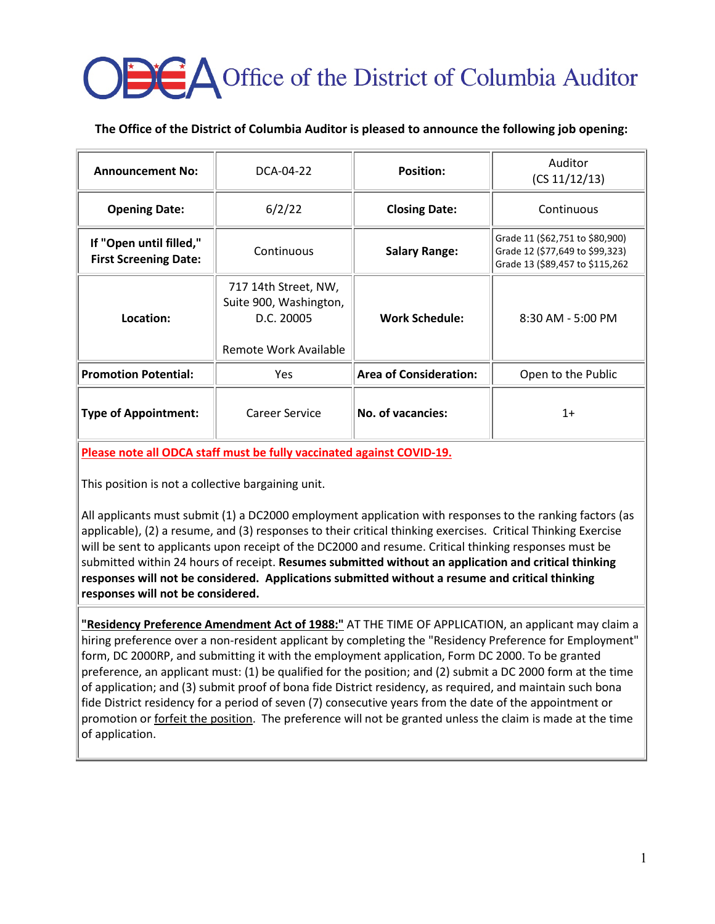# **OBC** Office of the District of Columbia Auditor

## **The Office of the District of Columbia Auditor is pleased to announce the following job opening:**

| <b>Announcement No:</b>                                 | DCA-04-22                                                                             | <b>Position:</b>              | Auditor<br>(CS 11/12/13)                                                                              |
|---------------------------------------------------------|---------------------------------------------------------------------------------------|-------------------------------|-------------------------------------------------------------------------------------------------------|
| <b>Opening Date:</b>                                    | 6/2/22                                                                                | <b>Closing Date:</b>          | Continuous                                                                                            |
| If "Open until filled,"<br><b>First Screening Date:</b> | Continuous                                                                            | <b>Salary Range:</b>          | Grade 11 (\$62,751 to \$80,900)<br>Grade 12 (\$77,649 to \$99,323)<br>Grade 13 (\$89,457 to \$115,262 |
| Location:                                               | 717 14th Street, NW,<br>Suite 900, Washington,<br>D.C. 20005<br>Remote Work Available | <b>Work Schedule:</b>         | $8:30$ AM - 5:00 PM                                                                                   |
| <b>Promotion Potential:</b>                             | <b>Yes</b>                                                                            | <b>Area of Consideration:</b> | Open to the Public                                                                                    |
| <b>Type of Appointment:</b>                             | Career Service                                                                        | <b>No. of vacancies:</b>      | $1+$                                                                                                  |

**Please note all ODCA staff must be fully vaccinated against COVID-19.**

This position is not a collective bargaining unit.

All applicants must submit (1) a DC2000 employment application with responses to the ranking factors (as applicable), (2) a resume, and (3) responses to their critical thinking exercises. Critical Thinking Exercise will be sent to applicants upon receipt of the DC2000 and resume. Critical thinking responses must be submitted within 24 hours of receipt. **Resumes submitted without an application and critical thinking responses will not be considered. Applications submitted without a resume and critical thinking responses will not be considered.**

**"Residency Preference Amendment Act of 1988:"** AT THE TIME OF APPLICATION, an applicant may claim a hiring preference over a non-resident applicant by completing the "Residency Preference for Employment" form, DC 2000RP, and submitting it with the employment application, Form DC 2000. To be granted preference, an applicant must: (1) be qualified for the position; and (2) submit a DC 2000 form at the time of application; and (3) submit proof of bona fide District residency, as required, and maintain such bona fide District residency for a period of seven (7) consecutive years from the date of the appointment or promotion or **forfeit the position**. The preference will not be granted unless the claim is made at the time of application.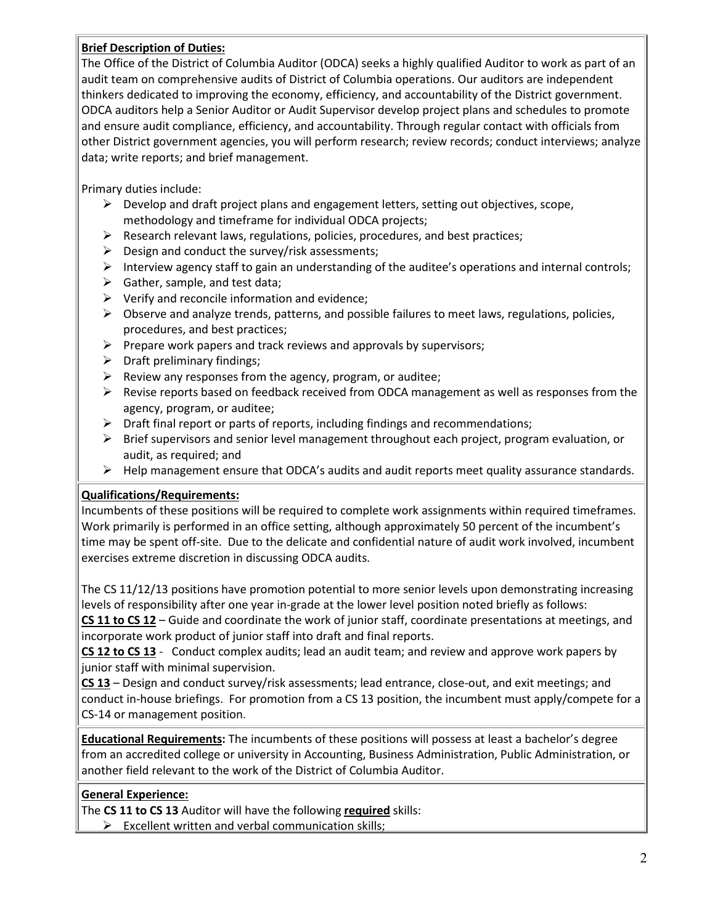### **Brief Description of Duties:**

The Office of the District of Columbia Auditor (ODCA) seeks a highly qualified Auditor to work as part of an audit team on comprehensive audits of District of Columbia operations. Our auditors are independent thinkers dedicated to improving the economy, efficiency, and accountability of the District government. ODCA auditors help a Senior Auditor or Audit Supervisor develop project plans and schedules to promote and ensure audit compliance, efficiency, and accountability. Through regular contact with officials from other District government agencies, you will perform research; review records; conduct interviews; analyze data; write reports; and brief management.

Primary duties include:

- $\triangleright$  Develop and draft project plans and engagement letters, setting out objectives, scope, methodology and timeframe for individual ODCA projects;
- $\triangleright$  Research relevant laws, regulations, policies, procedures, and best practices;
- $\triangleright$  Design and conduct the survey/risk assessments;
- Interview agency staff to gain an understanding of the auditee's operations and internal controls;
- $\triangleright$  Gather, sample, and test data;
- $\triangleright$  Verify and reconcile information and evidence;
- $\triangleright$  Observe and analyze trends, patterns, and possible failures to meet laws, regulations, policies, procedures, and best practices;
- $\triangleright$  Prepare work papers and track reviews and approvals by supervisors;
- $\triangleright$  Draft preliminary findings;
- $\triangleright$  Review any responses from the agency, program, or auditee;
- $\triangleright$  Revise reports based on feedback received from ODCA management as well as responses from the agency, program, or auditee;
- $\triangleright$  Draft final report or parts of reports, including findings and recommendations;
- $\triangleright$  Brief supervisors and senior level management throughout each project, program evaluation, or audit, as required; and
- $\triangleright$  Help management ensure that ODCA's audits and audit reports meet quality assurance standards.

#### **Qualifications/Requirements:**

Incumbents of these positions will be required to complete work assignments within required timeframes. Work primarily is performed in an office setting, although approximately 50 percent of the incumbent's time may be spent off-site. Due to the delicate and confidential nature of audit work involved, incumbent exercises extreme discretion in discussing ODCA audits.

The CS 11/12/13 positions have promotion potential to more senior levels upon demonstrating increasing levels of responsibility after one year in-grade at the lower level position noted briefly as follows:

**CS 11 to CS 12** – Guide and coordinate the work of junior staff, coordinate presentations at meetings, and incorporate work product of junior staff into draft and final reports.

**CS 12 to CS 13** - Conduct complex audits; lead an audit team; and review and approve work papers by junior staff with minimal supervision.

**CS 13** – Design and conduct survey/risk assessments; lead entrance, close-out, and exit meetings; and conduct in-house briefings. For promotion from a CS 13 position, the incumbent must apply/compete for a CS-14 or management position.

**Educational Requirements:** The incumbents of these positions will possess at least a bachelor's degree from an accredited college or university in Accounting, Business Administration, Public Administration, or another field relevant to the work of the District of Columbia Auditor.

## **General Experience:**

The **CS 11 to CS 13** Auditor will have the following **required** skills:

 $\triangleright$  Excellent written and verbal communication skills;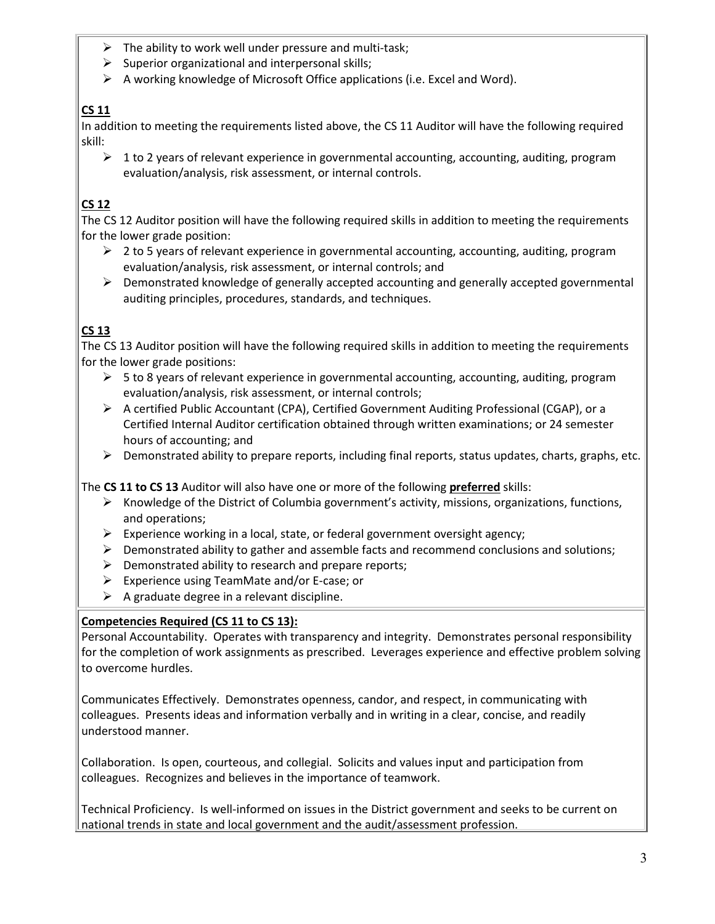- $\triangleright$  The ability to work well under pressure and multi-task;
- $\triangleright$  Superior organizational and interpersonal skills;
- $\triangleright$  A working knowledge of Microsoft Office applications (i.e. Excel and Word).

# **CS 11**

In addition to meeting the requirements listed above, the CS 11 Auditor will have the following required skill:

 $\geq 1$  to 2 years of relevant experience in governmental accounting, accounting, auditing, program evaluation/analysis, risk assessment, or internal controls.

# **CS 12**

The CS 12 Auditor position will have the following required skills in addition to meeting the requirements for the lower grade position:

- $\geq 2$  to 5 years of relevant experience in governmental accounting, accounting, auditing, program evaluation/analysis, risk assessment, or internal controls; and
- $\triangleright$  Demonstrated knowledge of generally accepted accounting and generally accepted governmental auditing principles, procedures, standards, and techniques.

# **CS 13**

The CS 13 Auditor position will have the following required skills in addition to meeting the requirements for the lower grade positions:

- $\triangleright$  5 to 8 years of relevant experience in governmental accounting, accounting, auditing, program evaluation/analysis, risk assessment, or internal controls;
- $\triangleright$  A certified Public Accountant (CPA), Certified Government Auditing Professional (CGAP), or a Certified Internal Auditor certification obtained through written examinations; or 24 semester hours of accounting; and
- $\triangleright$  Demonstrated ability to prepare reports, including final reports, status updates, charts, graphs, etc.

The **CS 11 to CS 13** Auditor will also have one or more of the following **preferred** skills:

- $\triangleright$  Knowledge of the District of Columbia government's activity, missions, organizations, functions, and operations;
- $\triangleright$  Experience working in a local, state, or federal government oversight agency;
- $\triangleright$  Demonstrated ability to gather and assemble facts and recommend conclusions and solutions;
- $\triangleright$  Demonstrated ability to research and prepare reports;
- $\triangleright$  Experience using TeamMate and/or E-case; or
- $\triangleright$  A graduate degree in a relevant discipline.

## **Competencies Required (CS 11 to CS 13):**

Personal Accountability. Operates with transparency and integrity. Demonstrates personal responsibility for the completion of work assignments as prescribed. Leverages experience and effective problem solving to overcome hurdles.

Communicates Effectively. Demonstrates openness, candor, and respect, in communicating with colleagues. Presents ideas and information verbally and in writing in a clear, concise, and readily understood manner.

Collaboration. Is open, courteous, and collegial. Solicits and values input and participation from colleagues. Recognizes and believes in the importance of teamwork.

Technical Proficiency. Is well-informed on issues in the District government and seeks to be current on national trends in state and local government and the audit/assessment profession.